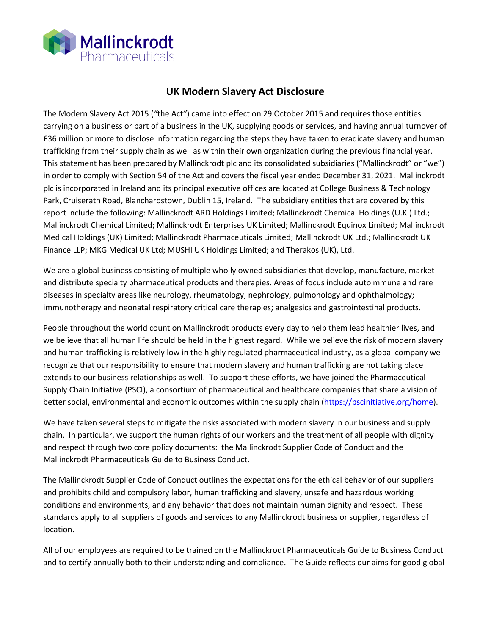

## **UK Modern Slavery Act Disclosure**

The Modern Slavery Act 2015 (*"*the Act*"*) came into effect on 29 October 2015 and requires those entities carrying on a business or part of a business in the UK, supplying goods or services, and having annual turnover of £36 million or more to disclose information regarding the steps they have taken to eradicate slavery and human trafficking from their supply chain as well as within their own organization during the previous financial year. This statement has been prepared by Mallinckrodt plc and its consolidated subsidiaries ("Mallinckrodt" or "we") in order to comply with Section 54 of the Act and covers the fiscal year ended December 31, 2021. Mallinckrodt plc is incorporated in Ireland and its principal executive offices are located at College Business & Technology Park, Cruiserath Road, Blanchardstown, Dublin 15, Ireland. The subsidiary entities that are covered by this report include the following: Mallinckrodt ARD Holdings Limited; Mallinckrodt Chemical Holdings (U.K.) Ltd.; Mallinckrodt Chemical Limited; Mallinckrodt Enterprises UK Limited; Mallinckrodt Equinox Limited; Mallinckrodt Medical Holdings (UK) Limited; Mallinckrodt Pharmaceuticals Limited; Mallinckrodt UK Ltd.; Mallinckrodt UK Finance LLP; MKG Medical UK Ltd; MUSHI UK Holdings Limited; and Therakos (UK), Ltd.

We are a global business consisting of multiple wholly owned subsidiaries that develop, manufacture, market and distribute specialty pharmaceutical products and therapies. Areas of focus include autoimmune and rare diseases in specialty areas like neurology, rheumatology, nephrology, pulmonology and ophthalmology; immunotherapy and neonatal respiratory critical care therapies; analgesics and gastrointestinal products.

People throughout the world count on Mallinckrodt products every day to help them lead healthier lives, and we believe that all human life should be held in the highest regard. While we believe the risk of modern slavery and human trafficking is relatively low in the highly regulated pharmaceutical industry, as a global company we recognize that our responsibility to ensure that modern slavery and human trafficking are not taking place extends to our business relationships as well. To support these efforts, we have joined the Pharmaceutical Supply Chain Initiative (PSCI), a consortium of pharmaceutical and healthcare companies that share a vision of better social, environmental and economic outcomes within the supply chain [\(https://pscinitiative.org/home\)](https://pscinitiative.org/home).

We have taken several steps to mitigate the risks associated with modern slavery in our business and supply chain. In particular, we support the human rights of our workers and the treatment of all people with dignity and respect through two core policy documents: the Mallinckrodt Supplier Code of Conduct and the Mallinckrodt Pharmaceuticals Guide to Business Conduct.

The Mallinckrodt Supplier Code of Conduct outlines the expectations for the ethical behavior of our suppliers and prohibits child and compulsory labor, human trafficking and slavery, unsafe and hazardous working conditions and environments, and any behavior that does not maintain human dignity and respect. These standards apply to all suppliers of goods and services to any Mallinckrodt business or supplier, regardless of location.

All of our employees are required to be trained on the Mallinckrodt Pharmaceuticals Guide to Business Conduct and to certify annually both to their understanding and compliance. The Guide reflects our aims for good global